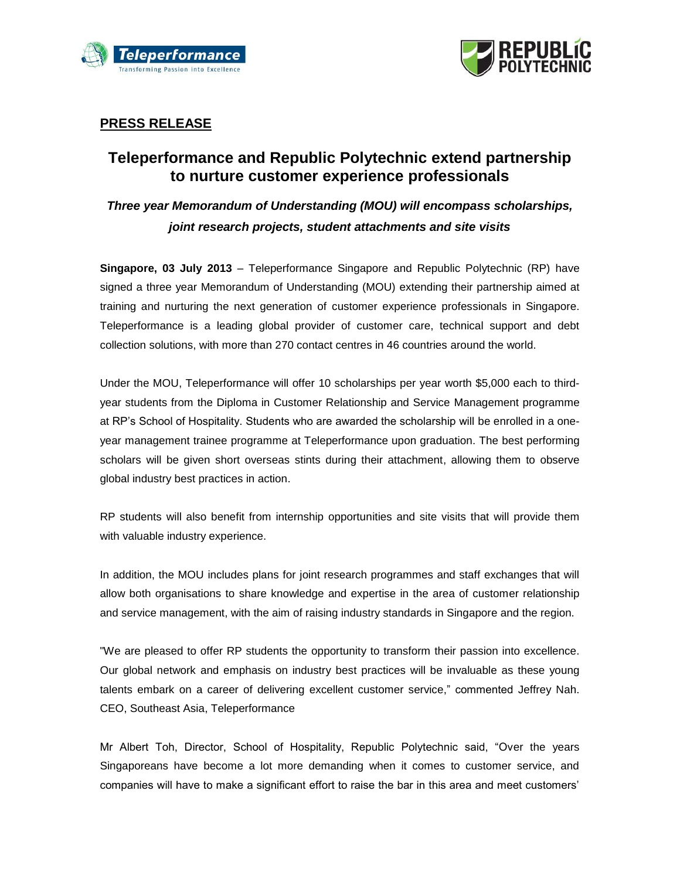



### **PRESS RELEASE**

# **Teleperformance and Republic Polytechnic extend partnership to nurture customer experience professionals**

# *Three year Memorandum of Understanding (MOU) will encompass scholarships, joint research projects, student attachments and site visits*

**Singapore, 03 July 2013** – Teleperformance Singapore and Republic Polytechnic (RP) have signed a three year Memorandum of Understanding (MOU) extending their partnership aimed at training and nurturing the next generation of customer experience professionals in Singapore. Teleperformance is a leading global provider of customer care, technical support and debt collection solutions, with more than 270 contact centres in 46 countries around the world.

Under the MOU, Teleperformance will offer 10 scholarships per year worth \$5,000 each to thirdyear students from the Diploma in Customer Relationship and Service Management programme at RP's School of Hospitality. Students who are awarded the scholarship will be enrolled in a oneyear management trainee programme at Teleperformance upon graduation. The best performing scholars will be given short overseas stints during their attachment, allowing them to observe global industry best practices in action.

RP students will also benefit from internship opportunities and site visits that will provide them with valuable industry experience.

In addition, the MOU includes plans for joint research programmes and staff exchanges that will allow both organisations to share knowledge and expertise in the area of customer relationship and service management, with the aim of raising industry standards in Singapore and the region.

"We are pleased to offer RP students the opportunity to transform their passion into excellence. Our global network and emphasis on industry best practices will be invaluable as these young talents embark on a career of delivering excellent customer service," commented Jeffrey Nah. CEO, Southeast Asia, Teleperformance

Mr Albert Toh, Director, School of Hospitality, Republic Polytechnic said, "Over the years Singaporeans have become a lot more demanding when it comes to customer service, and companies will have to make a significant effort to raise the bar in this area and meet customers'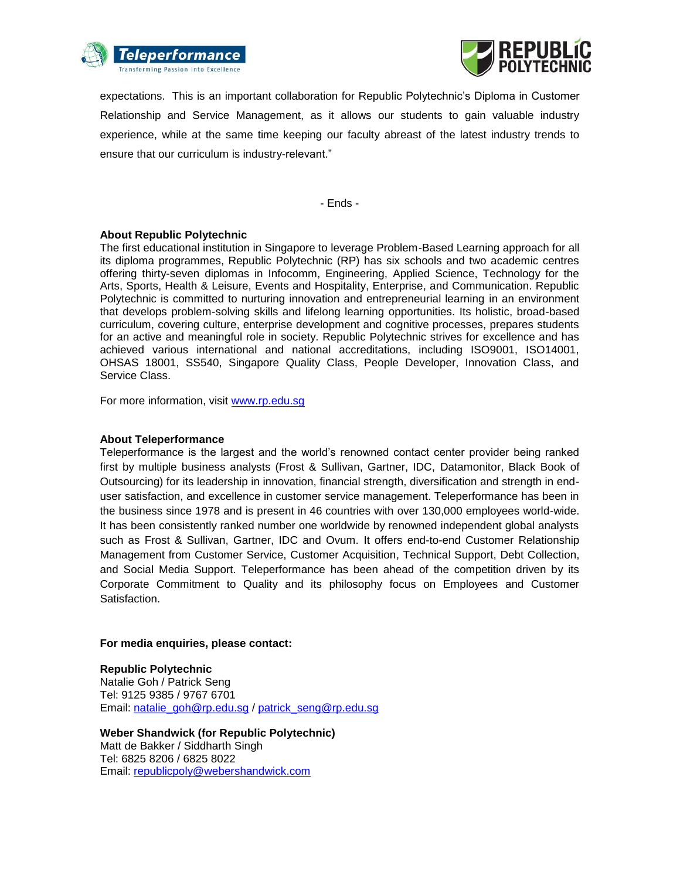



expectations. This is an important collaboration for Republic Polytechnic's Diploma in Customer Relationship and Service Management, as it allows our students to gain valuable industry experience, while at the same time keeping our faculty abreast of the latest industry trends to ensure that our curriculum is industry-relevant."

- Ends -

#### **About Republic Polytechnic**

The first educational institution in Singapore to leverage Problem-Based Learning approach for all its diploma programmes, Republic Polytechnic (RP) has six schools and two academic centres offering thirty-seven diplomas in Infocomm, Engineering, Applied Science, Technology for the Arts, Sports, Health & Leisure, Events and Hospitality, Enterprise, and Communication. Republic Polytechnic is committed to nurturing innovation and entrepreneurial learning in an environment that develops problem-solving skills and lifelong learning opportunities. Its holistic, broad-based curriculum, covering culture, enterprise development and cognitive processes, prepares students for an active and meaningful role in society. Republic Polytechnic strives for excellence and has achieved various international and national accreditations, including ISO9001, ISO14001, OHSAS 18001, SS540, Singapore Quality Class, People Developer, Innovation Class, and Service Class.

For more information, visit [www.rp.edu.sg](http://www.rp.edu.sg/)

#### **About Teleperformance**

Teleperformance is the largest and the world's renowned contact center provider being ranked first by multiple business analysts (Frost & Sullivan, Gartner, IDC, Datamonitor, Black Book of Outsourcing) for its leadership in innovation, financial strength, diversification and strength in enduser satisfaction, and excellence in customer service management. Teleperformance has been in the business since 1978 and is present in 46 countries with over 130,000 employees world-wide. It has been consistently ranked number one worldwide by renowned independent global analysts such as Frost & Sullivan, Gartner, IDC and Ovum. It offers end-to-end Customer Relationship Management from Customer Service, Customer Acquisition, Technical Support, Debt Collection, and Social Media Support. Teleperformance has been ahead of the competition driven by its Corporate Commitment to Quality and its philosophy focus on Employees and Customer Satisfaction.

#### **For media enquiries, please contact:**

**Republic Polytechnic** Natalie Goh / Patrick Seng Tel: 9125 9385 / 9767 6701 Email: [natalie\\_goh@rp.edu.sg](mailto:natalie_goh@rp.edu.sg) / [patrick\\_seng@rp.edu.sg](mailto:patrick_seng@rp.edu.sg)

**Weber Shandwick (for Republic Polytechnic)** Matt de Bakker / Siddharth Singh Tel: 6825 8206 / 6825 8022 Email: [republicpoly@webershandwick.com](mailto:republicpoly@webershandwick.com)